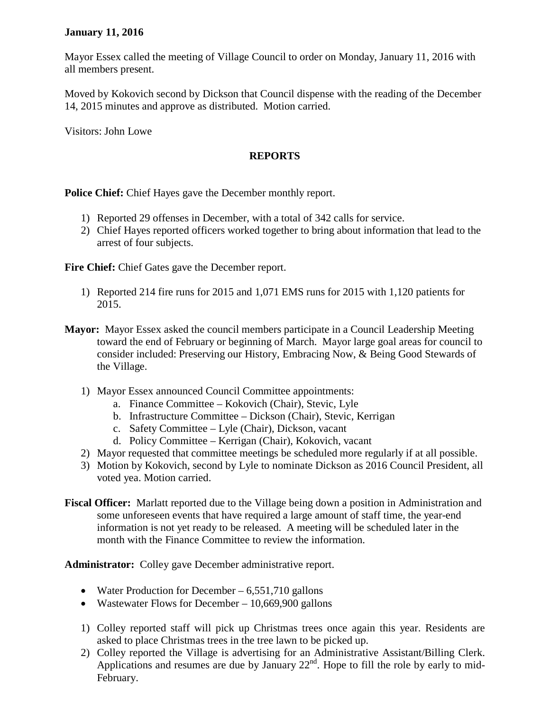## **January 11, 2016**

Mayor Essex called the meeting of Village Council to order on Monday, January 11, 2016 with all members present.

Moved by Kokovich second by Dickson that Council dispense with the reading of the December 14, 2015 minutes and approve as distributed. Motion carried.

Visitors: John Lowe

## **REPORTS**

**Police Chief:** Chief Hayes gave the December monthly report.

- 1) Reported 29 offenses in December, with a total of 342 calls for service.
- 2) Chief Hayes reported officers worked together to bring about information that lead to the arrest of four subjects.

**Fire Chief:** Chief Gates gave the December report.

- 1) Reported 214 fire runs for 2015 and 1,071 EMS runs for 2015 with 1,120 patients for 2015.
- **Mayor:** Mayor Essex asked the council members participate in a Council Leadership Meeting toward the end of February or beginning of March. Mayor large goal areas for council to consider included: Preserving our History, Embracing Now, & Being Good Stewards of the Village.
	- 1) Mayor Essex announced Council Committee appointments:
		- a. Finance Committee Kokovich (Chair), Stevic, Lyle
		- b. Infrastructure Committee Dickson (Chair), Stevic, Kerrigan
		- c. Safety Committee Lyle (Chair), Dickson, vacant
		- d. Policy Committee Kerrigan (Chair), Kokovich, vacant
	- 2) Mayor requested that committee meetings be scheduled more regularly if at all possible.
	- 3) Motion by Kokovich, second by Lyle to nominate Dickson as 2016 Council President, all voted yea. Motion carried.
- **Fiscal Officer:** Marlatt reported due to the Village being down a position in Administration and some unforeseen events that have required a large amount of staff time, the year-end information is not yet ready to be released. A meeting will be scheduled later in the month with the Finance Committee to review the information.

**Administrator:** Colley gave December administrative report.

- Water Production for December 6,551,710 gallons
- Wastewater Flows for December 10,669,900 gallons
- 1) Colley reported staff will pick up Christmas trees once again this year. Residents are asked to place Christmas trees in the tree lawn to be picked up.
- 2) Colley reported the Village is advertising for an Administrative Assistant/Billing Clerk. Applications and resumes are due by January  $22<sup>nd</sup>$ . Hope to fill the role by early to mid-February.